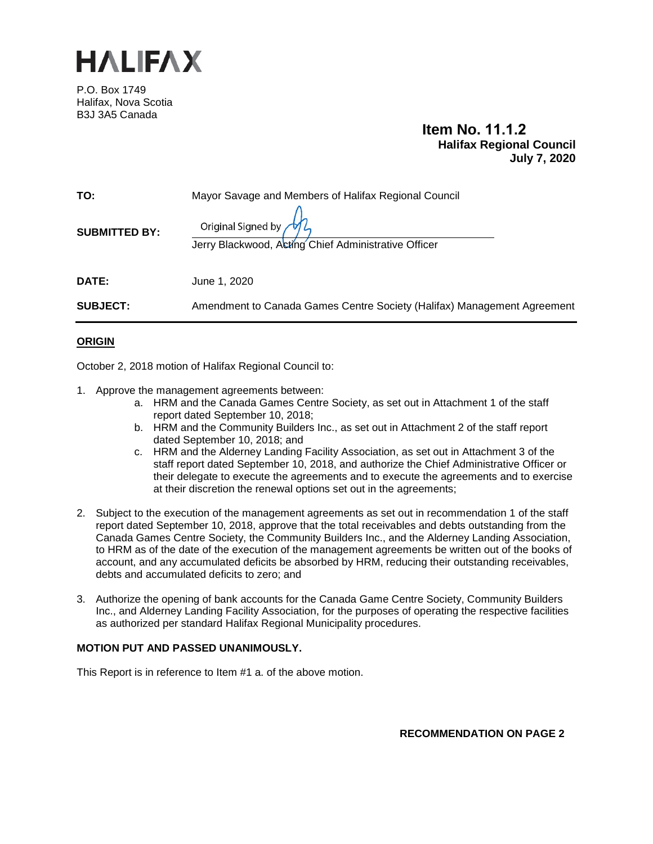

P.O. Box 1749 Halifax, Nova Scotia B3J 3A5 Canada

# **Item No. 11.1.2 Halifax Regional Council July 7, 2020**

| TO:                  | Mayor Savage and Members of Halifax Regional Council                                     |
|----------------------|------------------------------------------------------------------------------------------|
| <b>SUBMITTED BY:</b> | Original Signed by $\mathcal{W}$<br>Jerry Blackwood, Acting Chief Administrative Officer |
| DATE:                | June 1, 2020                                                                             |
| <b>SUBJECT:</b>      | Amendment to Canada Games Centre Society (Halifax) Management Agreement                  |
|                      |                                                                                          |

# **ORIGIN**

October 2, 2018 motion of Halifax Regional Council to:

- 1. Approve the management agreements between:
	- a. HRM and the Canada Games Centre Society, as set out in Attachment 1 of the staff report dated September 10, 2018;
	- b. HRM and the Community Builders Inc., as set out in Attachment 2 of the staff report dated September 10, 2018; and
	- c. HRM and the Alderney Landing Facility Association, as set out in Attachment 3 of the staff report dated September 10, 2018, and authorize the Chief Administrative Officer or their delegate to execute the agreements and to execute the agreements and to exercise at their discretion the renewal options set out in the agreements;
- 2. Subject to the execution of the management agreements as set out in recommendation 1 of the staff report dated September 10, 2018, approve that the total receivables and debts outstanding from the Canada Games Centre Society, the Community Builders Inc., and the Alderney Landing Association, to HRM as of the date of the execution of the management agreements be written out of the books of account, and any accumulated deficits be absorbed by HRM, reducing their outstanding receivables, debts and accumulated deficits to zero; and
- 3. Authorize the opening of bank accounts for the Canada Game Centre Society, Community Builders Inc., and Alderney Landing Facility Association, for the purposes of operating the respective facilities as authorized per standard Halifax Regional Municipality procedures.

### **MOTION PUT AND PASSED UNANIMOUSLY.**

This Report is in reference to Item #1 a. of the above motion.

**RECOMMENDATION ON PAGE 2**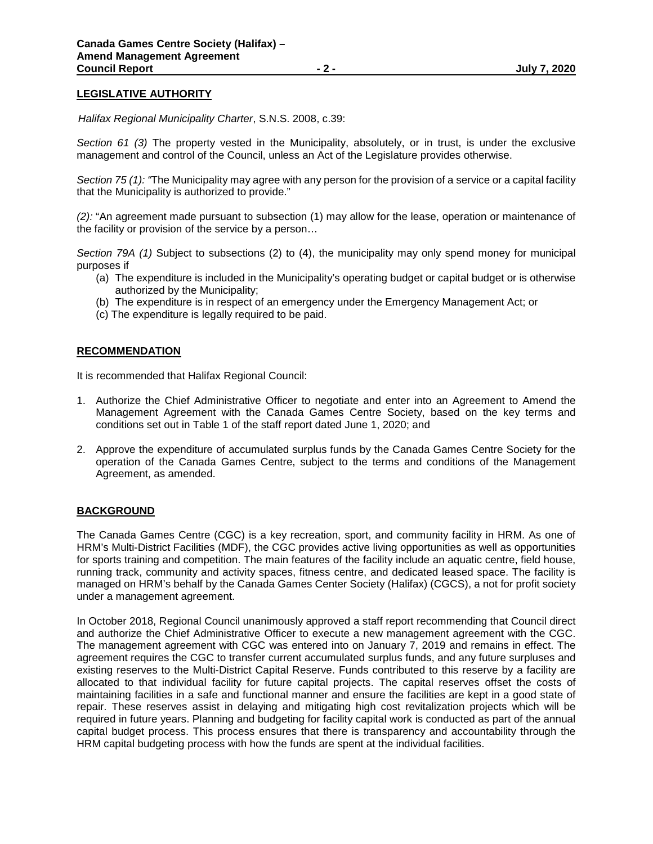## **LEGISLATIVE AUTHORITY**

 *Halifax Regional Municipality Charter*, S.N.S. 2008, c.39:

*Section 61 (3)* The property vested in the Municipality, absolutely, or in trust, is under the exclusive management and control of the Council, unless an Act of the Legislature provides otherwise.

*Section 75 (1): "*The Municipality may agree with any person for the provision of a service or a capital facility that the Municipality is authorized to provide."

*(2):* "An agreement made pursuant to subsection (1) may allow for the lease, operation or maintenance of the facility or provision of the service by a person…

*Section 79A (1)* Subject to subsections (2) to (4), the municipality may only spend money for municipal purposes if

- (a) The expenditure is included in the Municipality's operating budget or capital budget or is otherwise authorized by the Municipality;
- (b) The expenditure is in respect of an emergency under the Emergency Management Act; or
- (c) The expenditure is legally required to be paid.

### **RECOMMENDATION**

It is recommended that Halifax Regional Council:

- 1. Authorize the Chief Administrative Officer to negotiate and enter into an Agreement to Amend the Management Agreement with the Canada Games Centre Society, based on the key terms and conditions set out in Table 1 of the staff report dated June 1, 2020; and
- 2. Approve the expenditure of accumulated surplus funds by the Canada Games Centre Society for the operation of the Canada Games Centre, subject to the terms and conditions of the Management Agreement, as amended.

### **BACKGROUND**

The Canada Games Centre (CGC) is a key recreation, sport, and community facility in HRM. As one of HRM's Multi-District Facilities (MDF), the CGC provides active living opportunities as well as opportunities for sports training and competition. The main features of the facility include an aquatic centre, field house, running track, community and activity spaces, fitness centre, and dedicated leased space. The facility is managed on HRM's behalf by the Canada Games Center Society (Halifax) (CGCS), a not for profit society under a management agreement.

In October 2018, Regional Council unanimously approved a staff report recommending that Council direct and authorize the Chief Administrative Officer to execute a new management agreement with the CGC. The management agreement with CGC was entered into on January 7, 2019 and remains in effect. The agreement requires the CGC to transfer current accumulated surplus funds, and any future surpluses and existing reserves to the Multi-District Capital Reserve. Funds contributed to this reserve by a facility are allocated to that individual facility for future capital projects. The capital reserves offset the costs of maintaining facilities in a safe and functional manner and ensure the facilities are kept in a good state of repair. These reserves assist in delaying and mitigating high cost revitalization projects which will be required in future years. Planning and budgeting for facility capital work is conducted as part of the annual capital budget process. This process ensures that there is transparency and accountability through the HRM capital budgeting process with how the funds are spent at the individual facilities.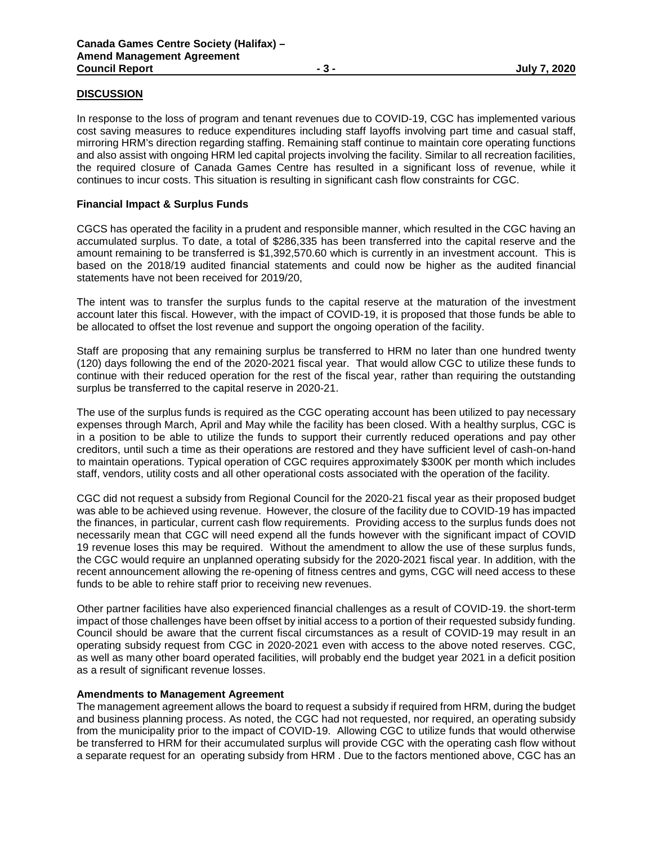## **DISCUSSION**

In response to the loss of program and tenant revenues due to COVID-19, CGC has implemented various cost saving measures to reduce expenditures including staff layoffs involving part time and casual staff, mirroring HRM's direction regarding staffing. Remaining staff continue to maintain core operating functions and also assist with ongoing HRM led capital projects involving the facility. Similar to all recreation facilities, the required closure of Canada Games Centre has resulted in a significant loss of revenue, while it continues to incur costs. This situation is resulting in significant cash flow constraints for CGC.

## **Financial Impact & Surplus Funds**

CGCS has operated the facility in a prudent and responsible manner, which resulted in the CGC having an accumulated surplus. To date, a total of \$286,335 has been transferred into the capital reserve and the amount remaining to be transferred is \$1,392,570.60 which is currently in an investment account. This is based on the 2018/19 audited financial statements and could now be higher as the audited financial statements have not been received for 2019/20,

The intent was to transfer the surplus funds to the capital reserve at the maturation of the investment account later this fiscal. However, with the impact of COVID-19, it is proposed that those funds be able to be allocated to offset the lost revenue and support the ongoing operation of the facility.

Staff are proposing that any remaining surplus be transferred to HRM no later than one hundred twenty (120) days following the end of the 2020-2021 fiscal year. That would allow CGC to utilize these funds to continue with their reduced operation for the rest of the fiscal year, rather than requiring the outstanding surplus be transferred to the capital reserve in 2020-21.

The use of the surplus funds is required as the CGC operating account has been utilized to pay necessary expenses through March, April and May while the facility has been closed. With a healthy surplus, CGC is in a position to be able to utilize the funds to support their currently reduced operations and pay other creditors, until such a time as their operations are restored and they have sufficient level of cash-on-hand to maintain operations. Typical operation of CGC requires approximately \$300K per month which includes staff, vendors, utility costs and all other operational costs associated with the operation of the facility.

CGC did not request a subsidy from Regional Council for the 2020-21 fiscal year as their proposed budget was able to be achieved using revenue. However, the closure of the facility due to COVID-19 has impacted the finances, in particular, current cash flow requirements. Providing access to the surplus funds does not necessarily mean that CGC will need expend all the funds however with the significant impact of COVID 19 revenue loses this may be required. Without the amendment to allow the use of these surplus funds, the CGC would require an unplanned operating subsidy for the 2020-2021 fiscal year. In addition, with the recent announcement allowing the re-opening of fitness centres and gyms, CGC will need access to these funds to be able to rehire staff prior to receiving new revenues.

Other partner facilities have also experienced financial challenges as a result of COVID-19. the short-term impact of those challenges have been offset by initial access to a portion of their requested subsidy funding. Council should be aware that the current fiscal circumstances as a result of COVID-19 may result in an operating subsidy request from CGC in 2020-2021 even with access to the above noted reserves. CGC, as well as many other board operated facilities, will probably end the budget year 2021 in a deficit position as a result of significant revenue losses.

### **Amendments to Management Agreement**

The management agreement allows the board to request a subsidy if required from HRM, during the budget and business planning process. As noted, the CGC had not requested, nor required, an operating subsidy from the municipality prior to the impact of COVID-19. Allowing CGC to utilize funds that would otherwise be transferred to HRM for their accumulated surplus will provide CGC with the operating cash flow without a separate request for an operating subsidy from HRM . Due to the factors mentioned above, CGC has an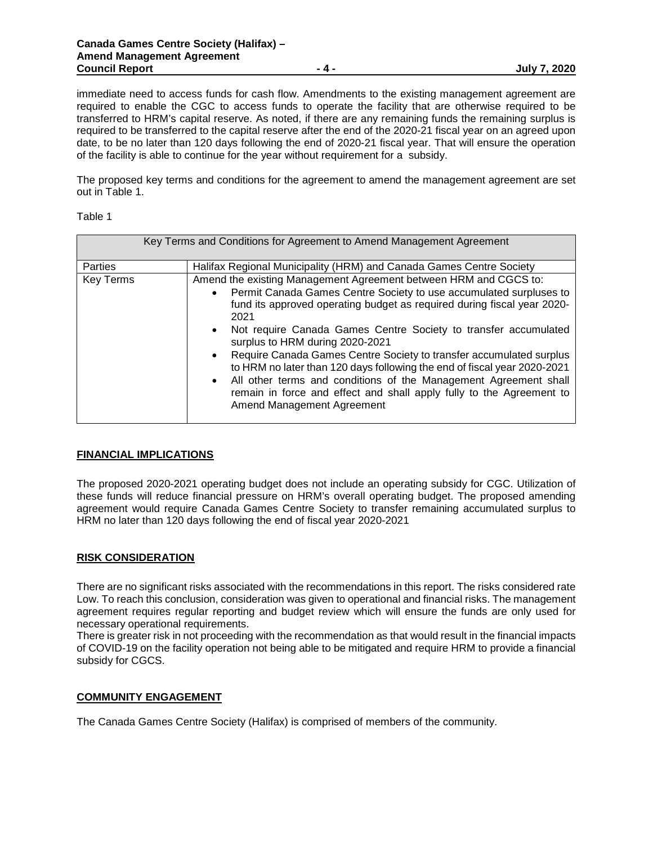immediate need to access funds for cash flow. Amendments to the existing management agreement are required to enable the CGC to access funds to operate the facility that are otherwise required to be transferred to HRM's capital reserve. As noted, if there are any remaining funds the remaining surplus is required to be transferred to the capital reserve after the end of the 2020-21 fiscal year on an agreed upon date, to be no later than 120 days following the end of 2020-21 fiscal year. That will ensure the operation of the facility is able to continue for the year without requirement for a subsidy.

The proposed key terms and conditions for the agreement to amend the management agreement are set out in Table 1.

| яn |
|----|
|----|

| Key Terms and Conditions for Agreement to Amend Management Agreement |                                                                                                                                                                                                                                                                                                                                                                                                                                                                                                                                                                                                                                                                                                                  |  |
|----------------------------------------------------------------------|------------------------------------------------------------------------------------------------------------------------------------------------------------------------------------------------------------------------------------------------------------------------------------------------------------------------------------------------------------------------------------------------------------------------------------------------------------------------------------------------------------------------------------------------------------------------------------------------------------------------------------------------------------------------------------------------------------------|--|
| Parties                                                              | Halifax Regional Municipality (HRM) and Canada Games Centre Society                                                                                                                                                                                                                                                                                                                                                                                                                                                                                                                                                                                                                                              |  |
| <b>Key Terms</b>                                                     | Amend the existing Management Agreement between HRM and CGCS to:<br>Permit Canada Games Centre Society to use accumulated surpluses to<br>$\bullet$<br>fund its approved operating budget as required during fiscal year 2020-<br>2021<br>Not require Canada Games Centre Society to transfer accumulated<br>$\bullet$<br>surplus to HRM during 2020-2021<br>Require Canada Games Centre Society to transfer accumulated surplus<br>$\bullet$<br>to HRM no later than 120 days following the end of fiscal year 2020-2021<br>All other terms and conditions of the Management Agreement shall<br>$\bullet$<br>remain in force and effect and shall apply fully to the Agreement to<br>Amend Management Agreement |  |

### **FINANCIAL IMPLICATIONS**

The proposed 2020-2021 operating budget does not include an operating subsidy for CGC. Utilization of these funds will reduce financial pressure on HRM's overall operating budget. The proposed amending agreement would require Canada Games Centre Society to transfer remaining accumulated surplus to HRM no later than 120 days following the end of fiscal year 2020-2021

### **RISK CONSIDERATION**

There are no significant risks associated with the recommendations in this report. The risks considered rate Low. To reach this conclusion, consideration was given to operational and financial risks. The management agreement requires regular reporting and budget review which will ensure the funds are only used for necessary operational requirements.

There is greater risk in not proceeding with the recommendation as that would result in the financial impacts of COVID-19 on the facility operation not being able to be mitigated and require HRM to provide a financial subsidy for CGCS.

### **COMMUNITY ENGAGEMENT**

The Canada Games Centre Society (Halifax) is comprised of members of the community.